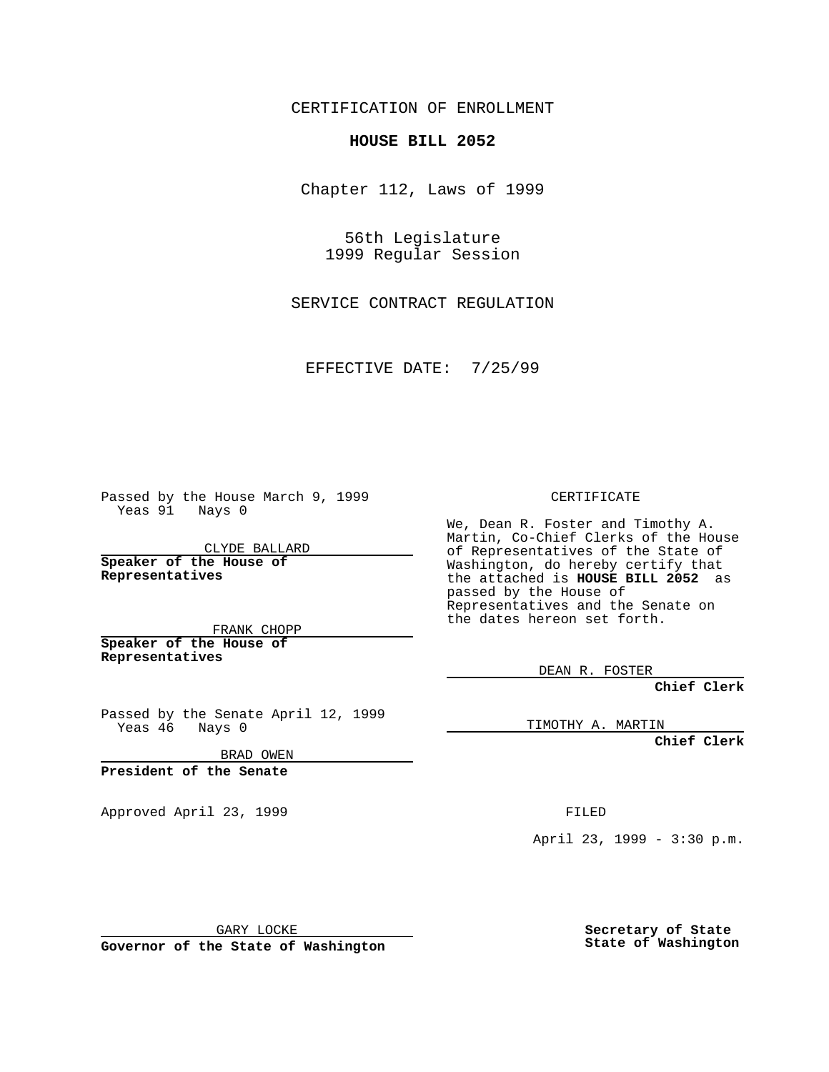CERTIFICATION OF ENROLLMENT

## **HOUSE BILL 2052**

Chapter 112, Laws of 1999

56th Legislature 1999 Regular Session

SERVICE CONTRACT REGULATION

EFFECTIVE DATE: 7/25/99

Passed by the House March 9, 1999 Yeas 91 Nays 0

CLYDE BALLARD **Speaker of the House of Representatives**

FRANK CHOPP **Speaker of the House of Representatives**

Passed by the Senate April 12, 1999<br>Yeas 46 Nays 0 Nays 0

BRAD OWEN

**President of the Senate**

Approved April 23, 1999 FILED

CERTIFICATE

We, Dean R. Foster and Timothy A. Martin, Co-Chief Clerks of the House of Representatives of the State of Washington, do hereby certify that the attached is **HOUSE BILL 2052** as passed by the House of Representatives and the Senate on the dates hereon set forth.

DEAN R. FOSTER

**Chief Clerk**

TIMOTHY A. MARTIN

**Chief Clerk**

April 23, 1999 - 3:30 p.m.

GARY LOCKE

**Governor of the State of Washington**

**Secretary of State State of Washington**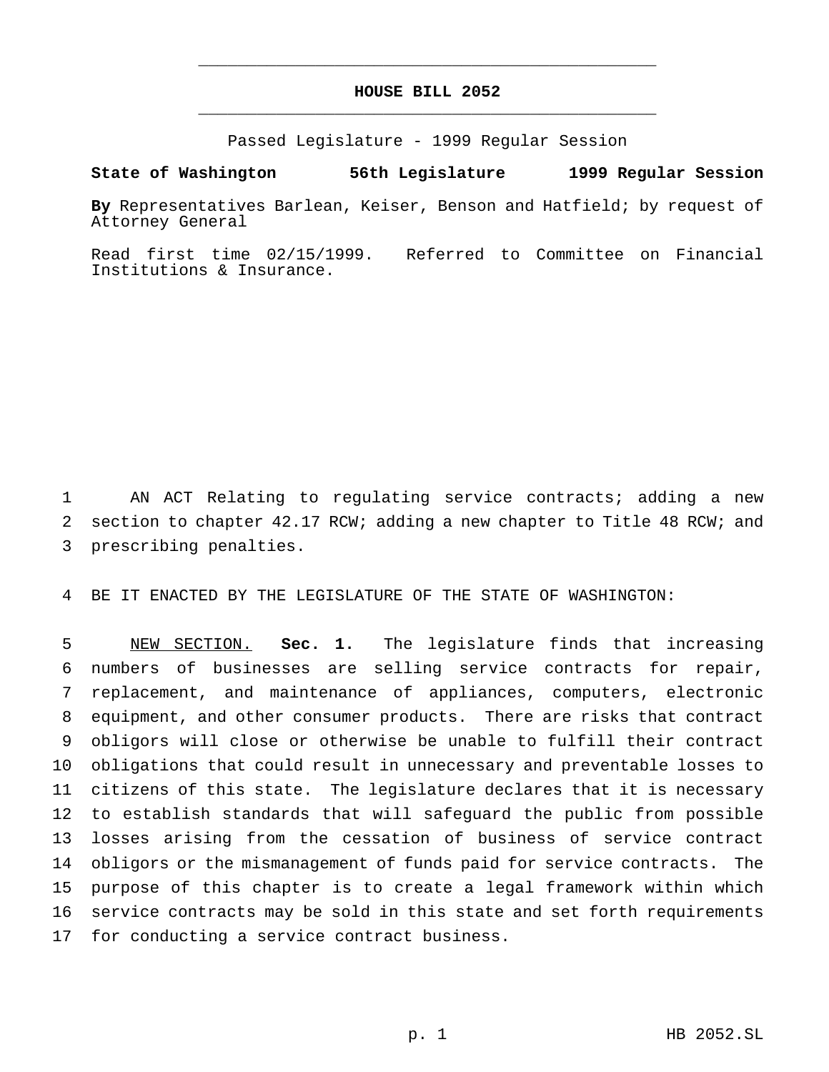## **HOUSE BILL 2052** \_\_\_\_\_\_\_\_\_\_\_\_\_\_\_\_\_\_\_\_\_\_\_\_\_\_\_\_\_\_\_\_\_\_\_\_\_\_\_\_\_\_\_\_\_\_\_

\_\_\_\_\_\_\_\_\_\_\_\_\_\_\_\_\_\_\_\_\_\_\_\_\_\_\_\_\_\_\_\_\_\_\_\_\_\_\_\_\_\_\_\_\_\_\_

Passed Legislature - 1999 Regular Session

**State of Washington 56th Legislature 1999 Regular Session**

**By** Representatives Barlean, Keiser, Benson and Hatfield; by request of Attorney General

Read first time 02/15/1999. Referred to Committee on Financial Institutions & Insurance.

 AN ACT Relating to regulating service contracts; adding a new section to chapter 42.17 RCW; adding a new chapter to Title 48 RCW; and prescribing penalties.

BE IT ENACTED BY THE LEGISLATURE OF THE STATE OF WASHINGTON:

 NEW SECTION. **Sec. 1.** The legislature finds that increasing numbers of businesses are selling service contracts for repair, replacement, and maintenance of appliances, computers, electronic equipment, and other consumer products. There are risks that contract obligors will close or otherwise be unable to fulfill their contract obligations that could result in unnecessary and preventable losses to citizens of this state. The legislature declares that it is necessary to establish standards that will safeguard the public from possible losses arising from the cessation of business of service contract obligors or the mismanagement of funds paid for service contracts. The purpose of this chapter is to create a legal framework within which service contracts may be sold in this state and set forth requirements for conducting a service contract business.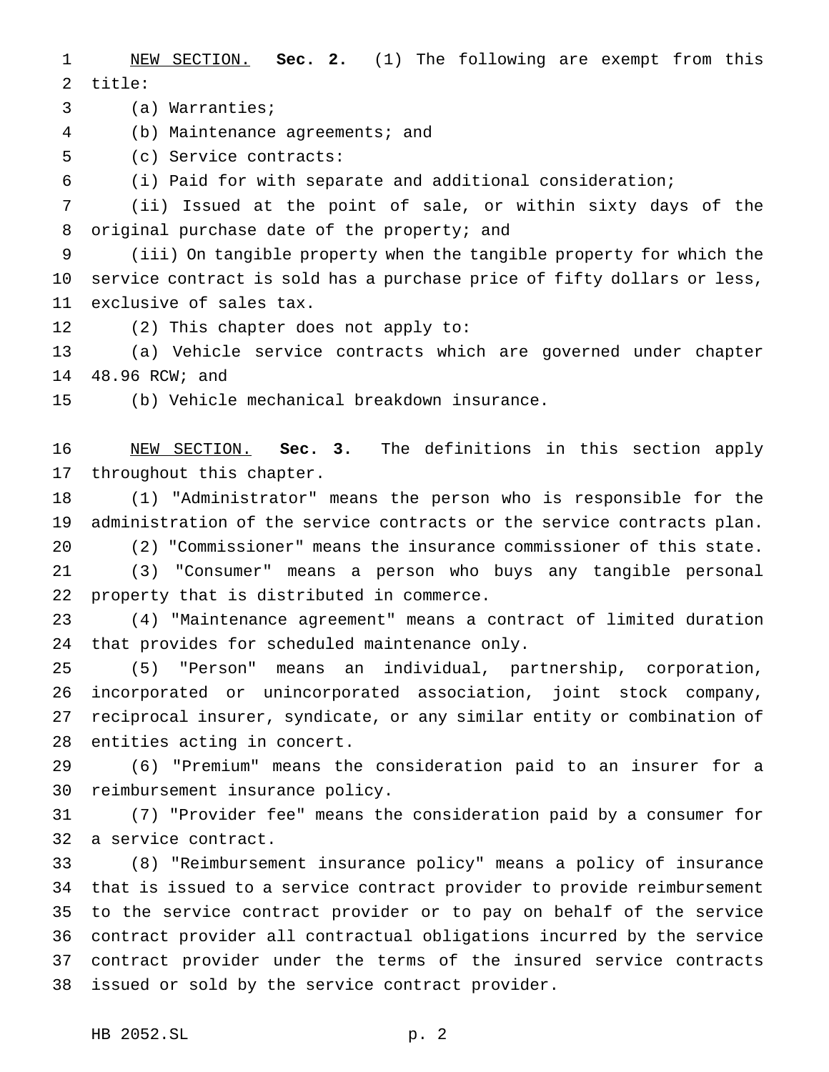NEW SECTION. **Sec. 2.** (1) The following are exempt from this title:

(a) Warranties;

(b) Maintenance agreements; and

(c) Service contracts:

(i) Paid for with separate and additional consideration;

 (ii) Issued at the point of sale, or within sixty days of the original purchase date of the property; and

 (iii) On tangible property when the tangible property for which the service contract is sold has a purchase price of fifty dollars or less, exclusive of sales tax.

(2) This chapter does not apply to:

 (a) Vehicle service contracts which are governed under chapter 48.96 RCW; and

(b) Vehicle mechanical breakdown insurance.

 NEW SECTION. **Sec. 3.** The definitions in this section apply throughout this chapter.

 (1) "Administrator" means the person who is responsible for the administration of the service contracts or the service contracts plan. (2) "Commissioner" means the insurance commissioner of this state. (3) "Consumer" means a person who buys any tangible personal property that is distributed in commerce.

 (4) "Maintenance agreement" means a contract of limited duration that provides for scheduled maintenance only.

 (5) "Person" means an individual, partnership, corporation, incorporated or unincorporated association, joint stock company, reciprocal insurer, syndicate, or any similar entity or combination of entities acting in concert.

 (6) "Premium" means the consideration paid to an insurer for a reimbursement insurance policy.

 (7) "Provider fee" means the consideration paid by a consumer for a service contract.

 (8) "Reimbursement insurance policy" means a policy of insurance that is issued to a service contract provider to provide reimbursement to the service contract provider or to pay on behalf of the service contract provider all contractual obligations incurred by the service contract provider under the terms of the insured service contracts issued or sold by the service contract provider.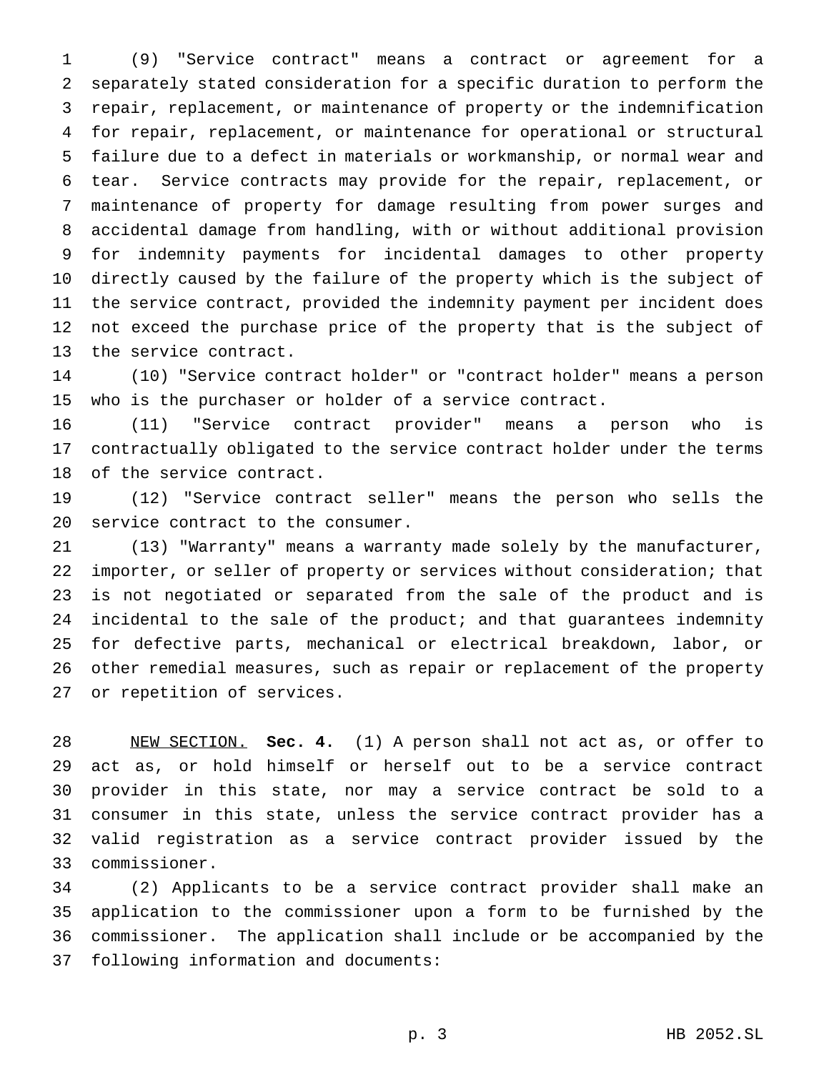(9) "Service contract" means a contract or agreement for a separately stated consideration for a specific duration to perform the repair, replacement, or maintenance of property or the indemnification for repair, replacement, or maintenance for operational or structural failure due to a defect in materials or workmanship, or normal wear and tear. Service contracts may provide for the repair, replacement, or maintenance of property for damage resulting from power surges and accidental damage from handling, with or without additional provision for indemnity payments for incidental damages to other property directly caused by the failure of the property which is the subject of the service contract, provided the indemnity payment per incident does not exceed the purchase price of the property that is the subject of the service contract.

 (10) "Service contract holder" or "contract holder" means a person who is the purchaser or holder of a service contract.

 (11) "Service contract provider" means a person who is contractually obligated to the service contract holder under the terms of the service contract.

 (12) "Service contract seller" means the person who sells the service contract to the consumer.

 (13) "Warranty" means a warranty made solely by the manufacturer, importer, or seller of property or services without consideration; that is not negotiated or separated from the sale of the product and is incidental to the sale of the product; and that guarantees indemnity for defective parts, mechanical or electrical breakdown, labor, or other remedial measures, such as repair or replacement of the property or repetition of services.

 NEW SECTION. **Sec. 4.** (1) A person shall not act as, or offer to act as, or hold himself or herself out to be a service contract provider in this state, nor may a service contract be sold to a consumer in this state, unless the service contract provider has a valid registration as a service contract provider issued by the commissioner.

 (2) Applicants to be a service contract provider shall make an application to the commissioner upon a form to be furnished by the commissioner. The application shall include or be accompanied by the following information and documents: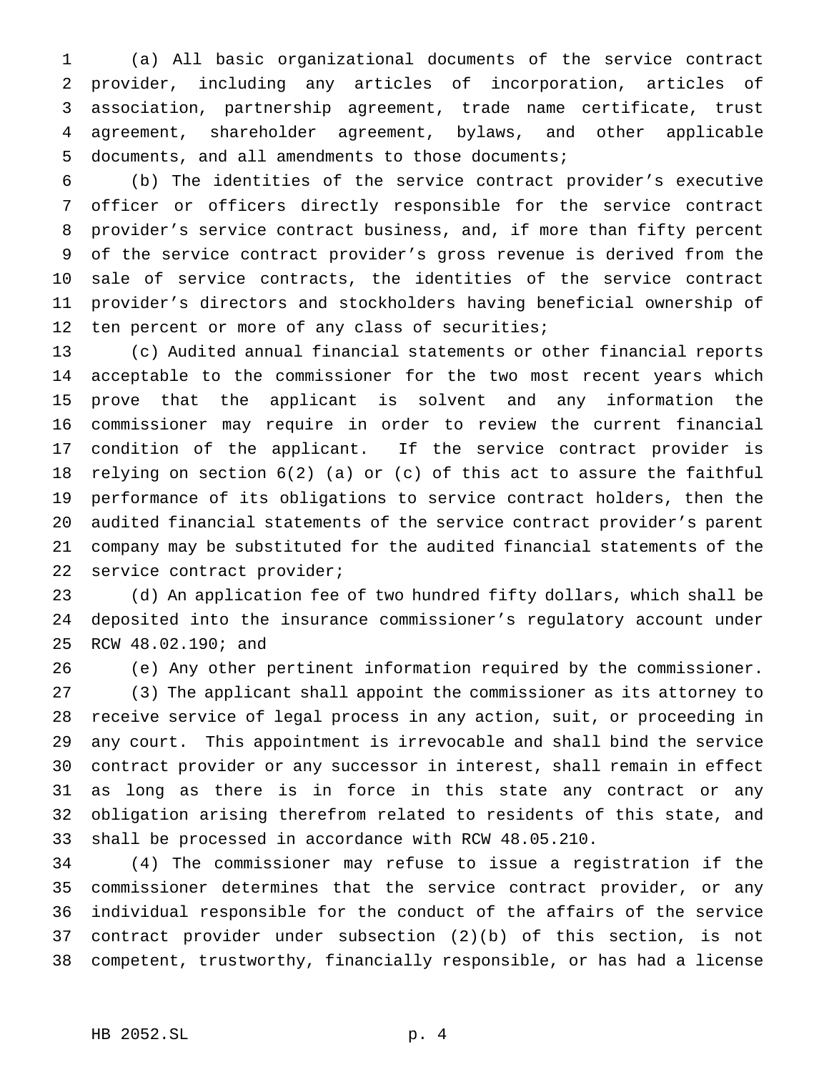(a) All basic organizational documents of the service contract provider, including any articles of incorporation, articles of association, partnership agreement, trade name certificate, trust agreement, shareholder agreement, bylaws, and other applicable documents, and all amendments to those documents;

 (b) The identities of the service contract provider's executive officer or officers directly responsible for the service contract provider's service contract business, and, if more than fifty percent of the service contract provider's gross revenue is derived from the sale of service contracts, the identities of the service contract provider's directors and stockholders having beneficial ownership of 12 ten percent or more of any class of securities;

 (c) Audited annual financial statements or other financial reports acceptable to the commissioner for the two most recent years which prove that the applicant is solvent and any information the commissioner may require in order to review the current financial condition of the applicant. If the service contract provider is relying on section 6(2) (a) or (c) of this act to assure the faithful performance of its obligations to service contract holders, then the audited financial statements of the service contract provider's parent company may be substituted for the audited financial statements of the service contract provider;

 (d) An application fee of two hundred fifty dollars, which shall be deposited into the insurance commissioner's regulatory account under RCW 48.02.190; and

 (e) Any other pertinent information required by the commissioner. (3) The applicant shall appoint the commissioner as its attorney to receive service of legal process in any action, suit, or proceeding in any court. This appointment is irrevocable and shall bind the service contract provider or any successor in interest, shall remain in effect as long as there is in force in this state any contract or any obligation arising therefrom related to residents of this state, and shall be processed in accordance with RCW 48.05.210.

 (4) The commissioner may refuse to issue a registration if the commissioner determines that the service contract provider, or any individual responsible for the conduct of the affairs of the service contract provider under subsection (2)(b) of this section, is not competent, trustworthy, financially responsible, or has had a license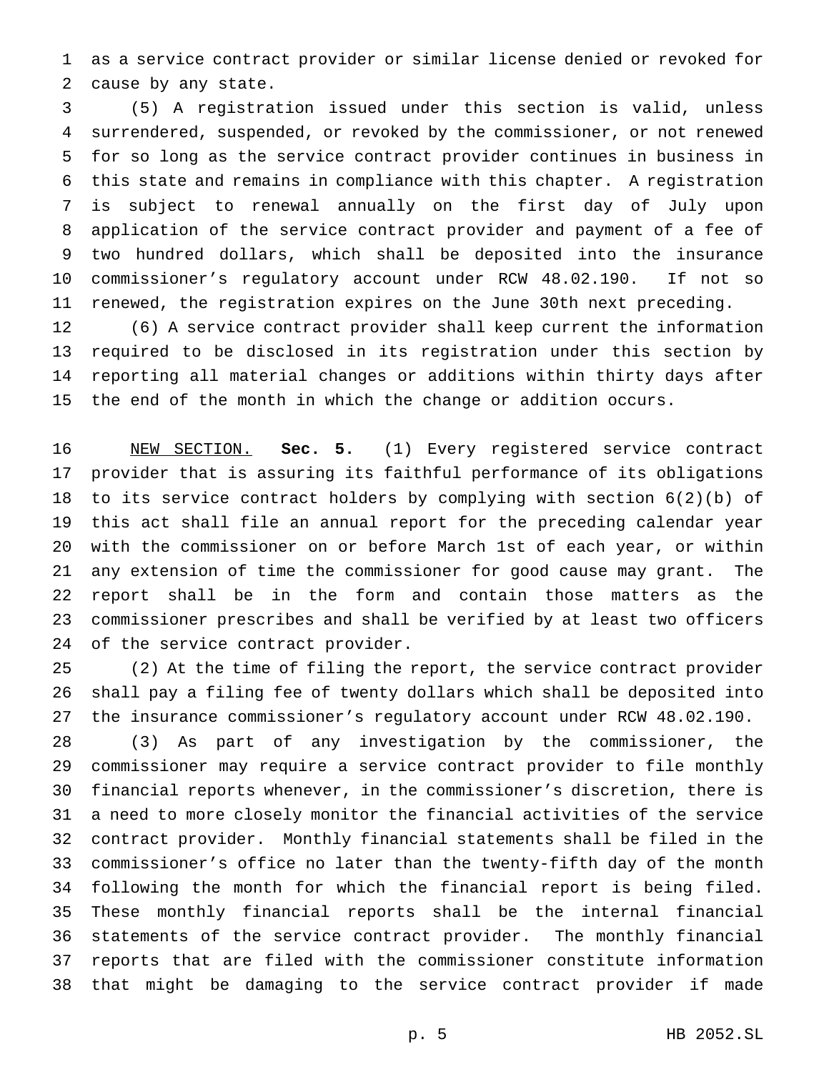as a service contract provider or similar license denied or revoked for cause by any state.

 (5) A registration issued under this section is valid, unless surrendered, suspended, or revoked by the commissioner, or not renewed for so long as the service contract provider continues in business in this state and remains in compliance with this chapter. A registration is subject to renewal annually on the first day of July upon application of the service contract provider and payment of a fee of two hundred dollars, which shall be deposited into the insurance commissioner's regulatory account under RCW 48.02.190. If not so renewed, the registration expires on the June 30th next preceding.

 (6) A service contract provider shall keep current the information required to be disclosed in its registration under this section by reporting all material changes or additions within thirty days after the end of the month in which the change or addition occurs.

 NEW SECTION. **Sec. 5.** (1) Every registered service contract provider that is assuring its faithful performance of its obligations to its service contract holders by complying with section 6(2)(b) of this act shall file an annual report for the preceding calendar year with the commissioner on or before March 1st of each year, or within any extension of time the commissioner for good cause may grant. The report shall be in the form and contain those matters as the commissioner prescribes and shall be verified by at least two officers of the service contract provider.

 (2) At the time of filing the report, the service contract provider shall pay a filing fee of twenty dollars which shall be deposited into the insurance commissioner's regulatory account under RCW 48.02.190.

 (3) As part of any investigation by the commissioner, the commissioner may require a service contract provider to file monthly financial reports whenever, in the commissioner's discretion, there is a need to more closely monitor the financial activities of the service contract provider. Monthly financial statements shall be filed in the commissioner's office no later than the twenty-fifth day of the month following the month for which the financial report is being filed. These monthly financial reports shall be the internal financial statements of the service contract provider. The monthly financial reports that are filed with the commissioner constitute information that might be damaging to the service contract provider if made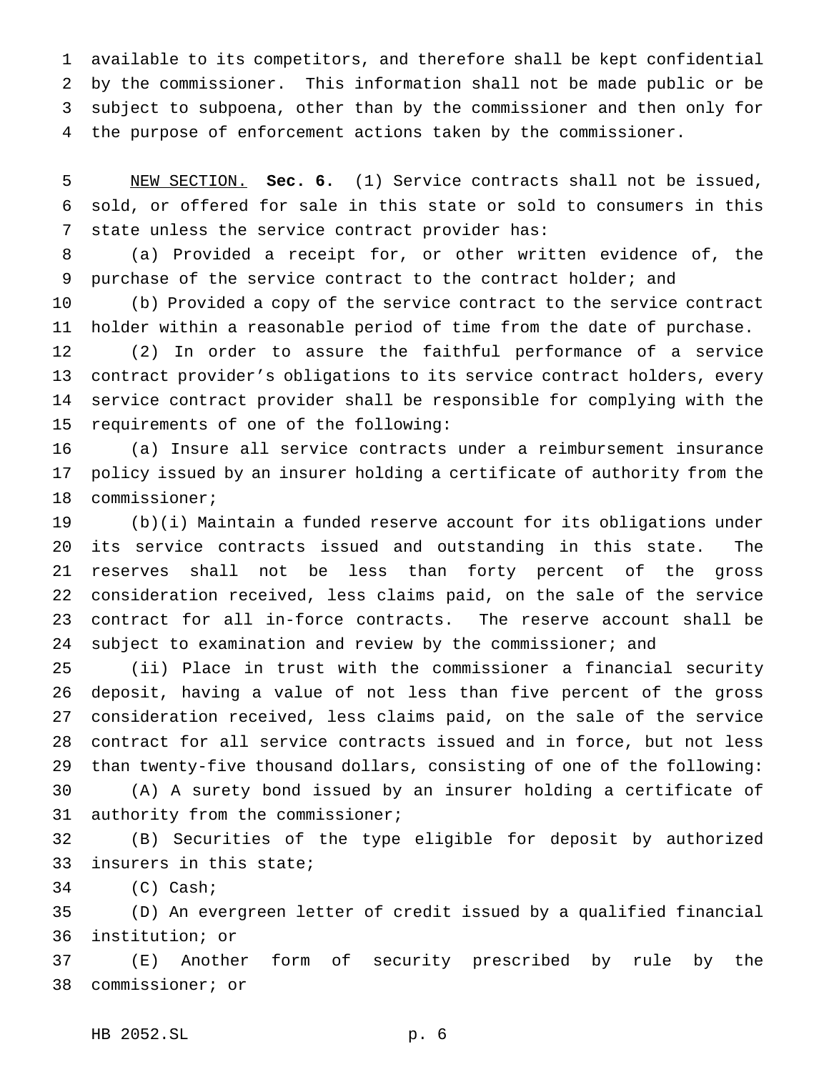available to its competitors, and therefore shall be kept confidential by the commissioner. This information shall not be made public or be subject to subpoena, other than by the commissioner and then only for the purpose of enforcement actions taken by the commissioner.

 NEW SECTION. **Sec. 6.** (1) Service contracts shall not be issued, sold, or offered for sale in this state or sold to consumers in this state unless the service contract provider has:

 (a) Provided a receipt for, or other written evidence of, the purchase of the service contract to the contract holder; and

 (b) Provided a copy of the service contract to the service contract holder within a reasonable period of time from the date of purchase.

 (2) In order to assure the faithful performance of a service contract provider's obligations to its service contract holders, every service contract provider shall be responsible for complying with the requirements of one of the following:

 (a) Insure all service contracts under a reimbursement insurance policy issued by an insurer holding a certificate of authority from the commissioner;

 (b)(i) Maintain a funded reserve account for its obligations under its service contracts issued and outstanding in this state. The reserves shall not be less than forty percent of the gross consideration received, less claims paid, on the sale of the service contract for all in-force contracts. The reserve account shall be 24 subject to examination and review by the commissioner; and

 (ii) Place in trust with the commissioner a financial security deposit, having a value of not less than five percent of the gross consideration received, less claims paid, on the sale of the service contract for all service contracts issued and in force, but not less than twenty-five thousand dollars, consisting of one of the following: (A) A surety bond issued by an insurer holding a certificate of

authority from the commissioner;

 (B) Securities of the type eligible for deposit by authorized insurers in this state;

(C) Cash;

 (D) An evergreen letter of credit issued by a qualified financial institution; or

 (E) Another form of security prescribed by rule by the commissioner; or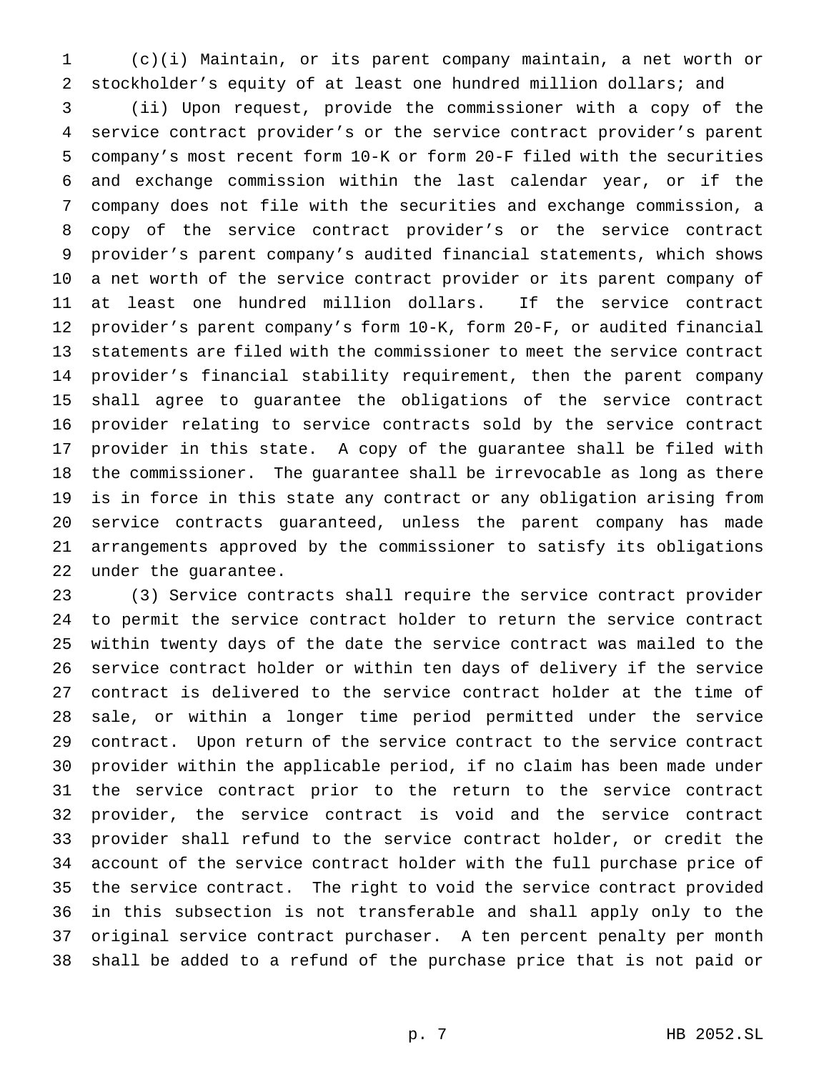(c)(i) Maintain, or its parent company maintain, a net worth or stockholder's equity of at least one hundred million dollars; and

 (ii) Upon request, provide the commissioner with a copy of the service contract provider's or the service contract provider's parent company's most recent form 10-K or form 20-F filed with the securities and exchange commission within the last calendar year, or if the company does not file with the securities and exchange commission, a copy of the service contract provider's or the service contract provider's parent company's audited financial statements, which shows a net worth of the service contract provider or its parent company of at least one hundred million dollars. If the service contract provider's parent company's form 10-K, form 20-F, or audited financial statements are filed with the commissioner to meet the service contract provider's financial stability requirement, then the parent company shall agree to guarantee the obligations of the service contract provider relating to service contracts sold by the service contract provider in this state. A copy of the guarantee shall be filed with the commissioner. The guarantee shall be irrevocable as long as there is in force in this state any contract or any obligation arising from service contracts guaranteed, unless the parent company has made arrangements approved by the commissioner to satisfy its obligations under the guarantee.

 (3) Service contracts shall require the service contract provider to permit the service contract holder to return the service contract within twenty days of the date the service contract was mailed to the service contract holder or within ten days of delivery if the service contract is delivered to the service contract holder at the time of sale, or within a longer time period permitted under the service contract. Upon return of the service contract to the service contract provider within the applicable period, if no claim has been made under the service contract prior to the return to the service contract provider, the service contract is void and the service contract provider shall refund to the service contract holder, or credit the account of the service contract holder with the full purchase price of the service contract. The right to void the service contract provided in this subsection is not transferable and shall apply only to the original service contract purchaser. A ten percent penalty per month shall be added to a refund of the purchase price that is not paid or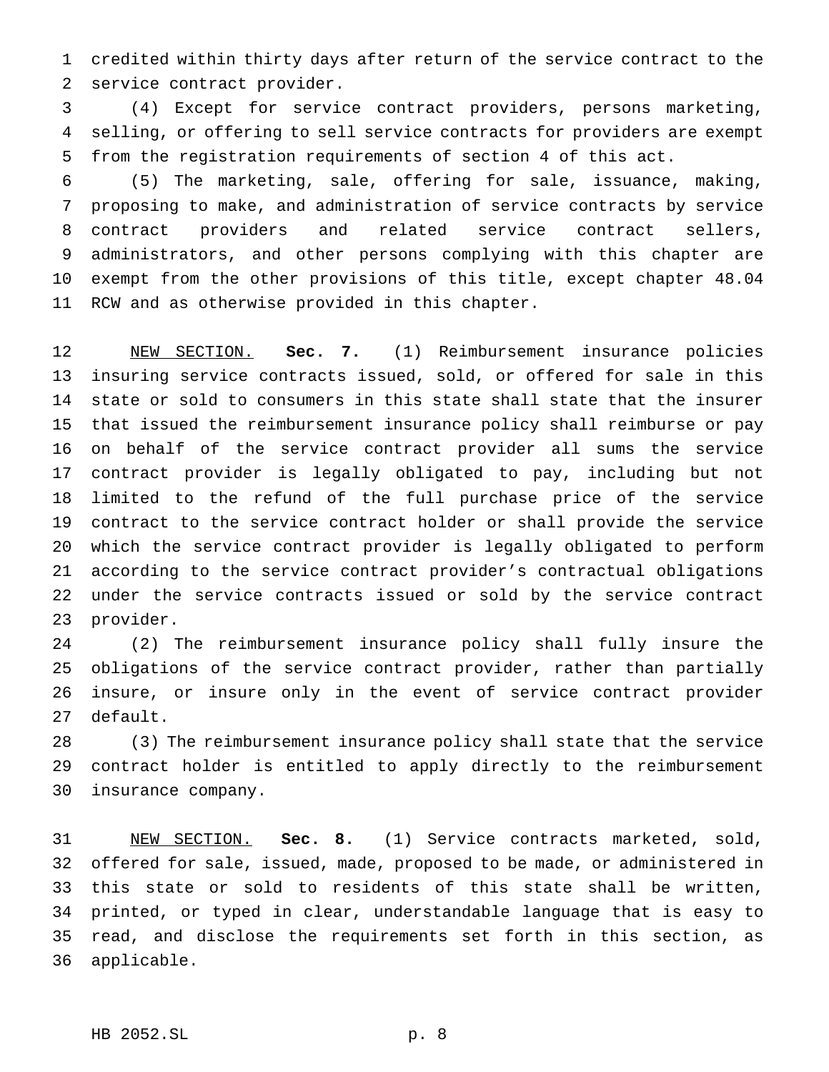credited within thirty days after return of the service contract to the service contract provider.

 (4) Except for service contract providers, persons marketing, selling, or offering to sell service contracts for providers are exempt from the registration requirements of section 4 of this act.

 (5) The marketing, sale, offering for sale, issuance, making, proposing to make, and administration of service contracts by service contract providers and related service contract sellers, administrators, and other persons complying with this chapter are exempt from the other provisions of this title, except chapter 48.04 RCW and as otherwise provided in this chapter.

 NEW SECTION. **Sec. 7.** (1) Reimbursement insurance policies insuring service contracts issued, sold, or offered for sale in this state or sold to consumers in this state shall state that the insurer that issued the reimbursement insurance policy shall reimburse or pay on behalf of the service contract provider all sums the service contract provider is legally obligated to pay, including but not limited to the refund of the full purchase price of the service contract to the service contract holder or shall provide the service which the service contract provider is legally obligated to perform according to the service contract provider's contractual obligations under the service contracts issued or sold by the service contract provider.

 (2) The reimbursement insurance policy shall fully insure the obligations of the service contract provider, rather than partially insure, or insure only in the event of service contract provider default.

 (3) The reimbursement insurance policy shall state that the service contract holder is entitled to apply directly to the reimbursement insurance company.

 NEW SECTION. **Sec. 8.** (1) Service contracts marketed, sold, offered for sale, issued, made, proposed to be made, or administered in this state or sold to residents of this state shall be written, printed, or typed in clear, understandable language that is easy to read, and disclose the requirements set forth in this section, as applicable.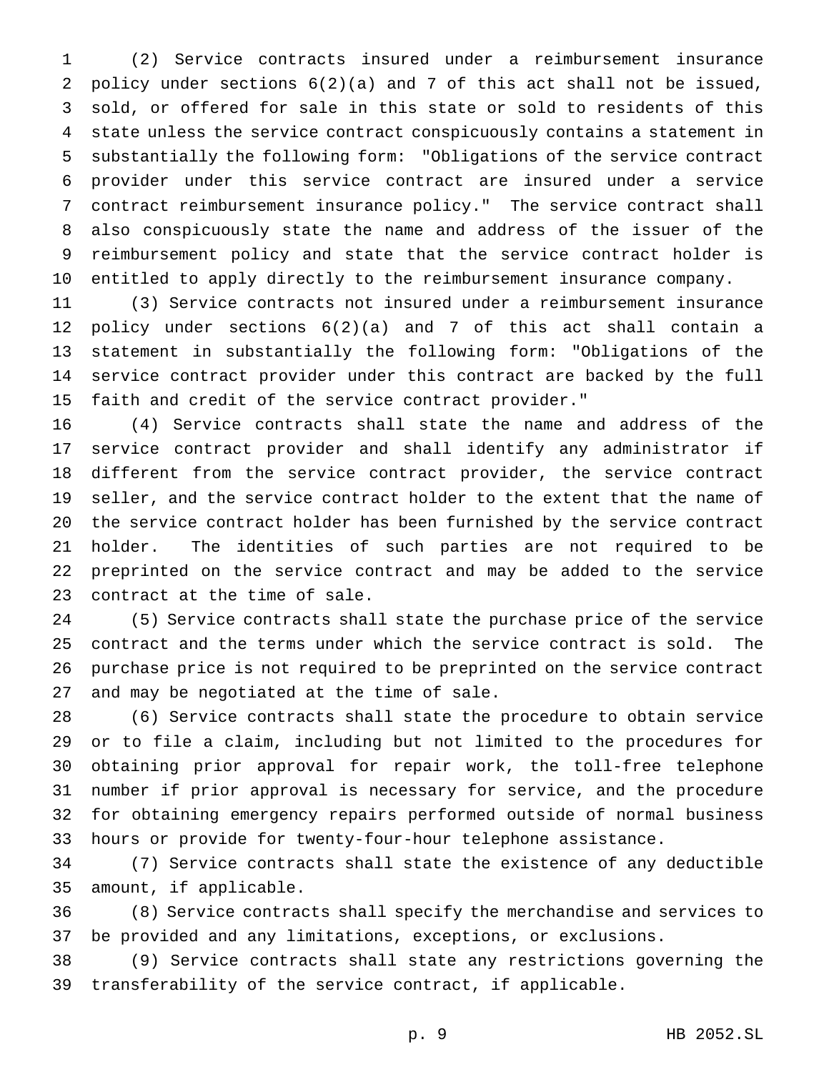(2) Service contracts insured under a reimbursement insurance policy under sections 6(2)(a) and 7 of this act shall not be issued, sold, or offered for sale in this state or sold to residents of this state unless the service contract conspicuously contains a statement in substantially the following form: "Obligations of the service contract provider under this service contract are insured under a service contract reimbursement insurance policy." The service contract shall also conspicuously state the name and address of the issuer of the reimbursement policy and state that the service contract holder is entitled to apply directly to the reimbursement insurance company.

 (3) Service contracts not insured under a reimbursement insurance policy under sections 6(2)(a) and 7 of this act shall contain a statement in substantially the following form: "Obligations of the service contract provider under this contract are backed by the full faith and credit of the service contract provider."

 (4) Service contracts shall state the name and address of the service contract provider and shall identify any administrator if different from the service contract provider, the service contract seller, and the service contract holder to the extent that the name of the service contract holder has been furnished by the service contract holder. The identities of such parties are not required to be preprinted on the service contract and may be added to the service contract at the time of sale.

 (5) Service contracts shall state the purchase price of the service contract and the terms under which the service contract is sold. The purchase price is not required to be preprinted on the service contract and may be negotiated at the time of sale.

 (6) Service contracts shall state the procedure to obtain service or to file a claim, including but not limited to the procedures for obtaining prior approval for repair work, the toll-free telephone number if prior approval is necessary for service, and the procedure for obtaining emergency repairs performed outside of normal business hours or provide for twenty-four-hour telephone assistance.

 (7) Service contracts shall state the existence of any deductible amount, if applicable.

 (8) Service contracts shall specify the merchandise and services to be provided and any limitations, exceptions, or exclusions.

 (9) Service contracts shall state any restrictions governing the transferability of the service contract, if applicable.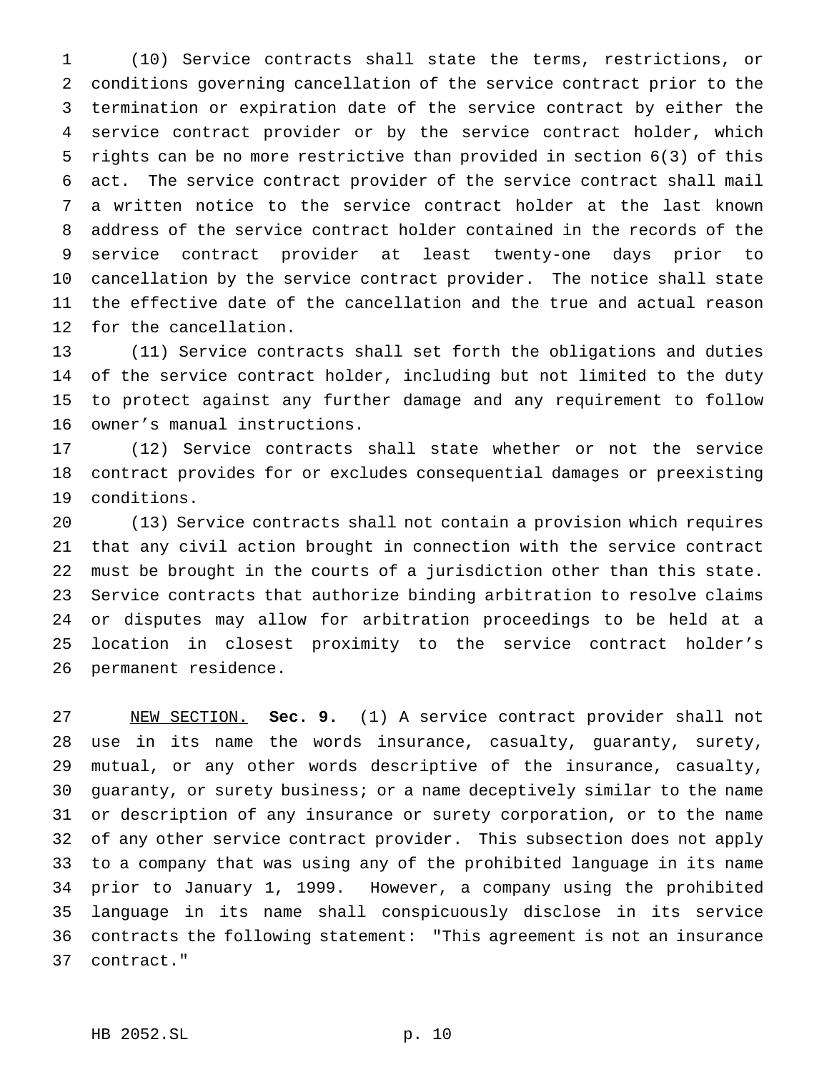(10) Service contracts shall state the terms, restrictions, or conditions governing cancellation of the service contract prior to the termination or expiration date of the service contract by either the service contract provider or by the service contract holder, which rights can be no more restrictive than provided in section 6(3) of this act. The service contract provider of the service contract shall mail a written notice to the service contract holder at the last known address of the service contract holder contained in the records of the service contract provider at least twenty-one days prior to cancellation by the service contract provider. The notice shall state the effective date of the cancellation and the true and actual reason for the cancellation.

 (11) Service contracts shall set forth the obligations and duties of the service contract holder, including but not limited to the duty to protect against any further damage and any requirement to follow owner's manual instructions.

 (12) Service contracts shall state whether or not the service contract provides for or excludes consequential damages or preexisting conditions.

 (13) Service contracts shall not contain a provision which requires that any civil action brought in connection with the service contract must be brought in the courts of a jurisdiction other than this state. Service contracts that authorize binding arbitration to resolve claims or disputes may allow for arbitration proceedings to be held at a location in closest proximity to the service contract holder's permanent residence.

 NEW SECTION. **Sec. 9.** (1) A service contract provider shall not use in its name the words insurance, casualty, guaranty, surety, mutual, or any other words descriptive of the insurance, casualty, guaranty, or surety business; or a name deceptively similar to the name or description of any insurance or surety corporation, or to the name of any other service contract provider. This subsection does not apply to a company that was using any of the prohibited language in its name prior to January 1, 1999. However, a company using the prohibited language in its name shall conspicuously disclose in its service contracts the following statement: "This agreement is not an insurance contract."

## HB 2052.SL p. 10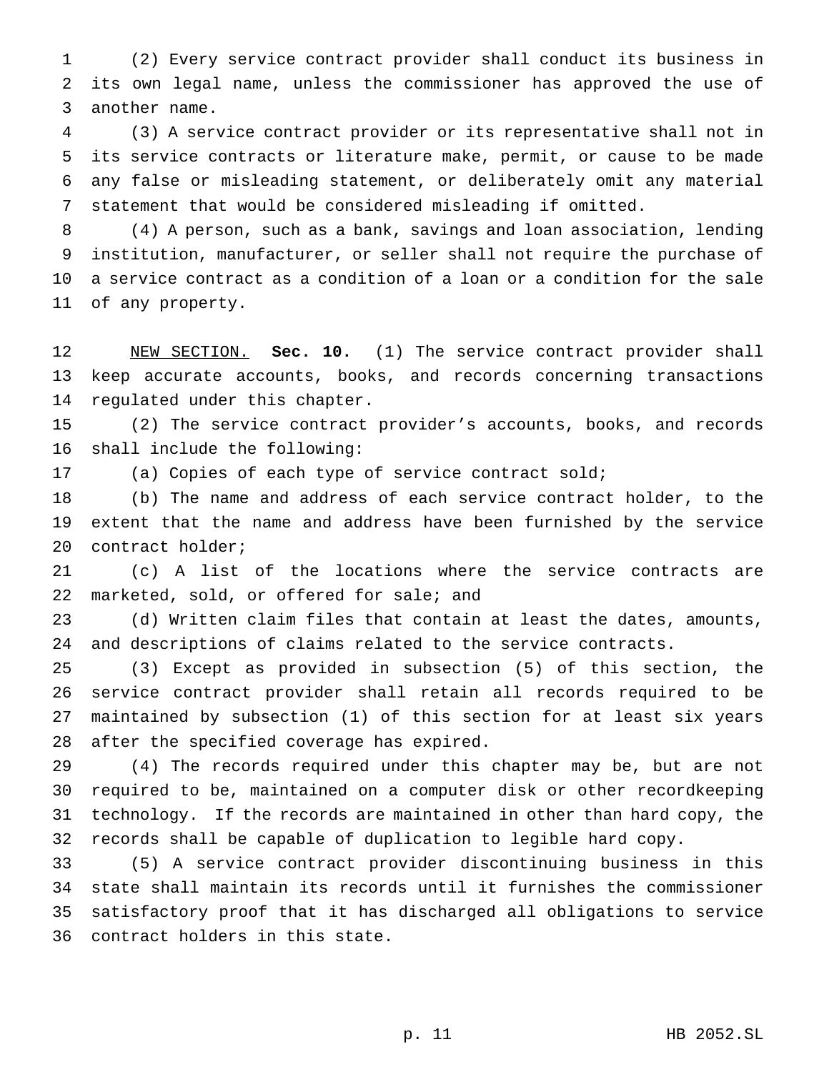(2) Every service contract provider shall conduct its business in its own legal name, unless the commissioner has approved the use of another name.

 (3) A service contract provider or its representative shall not in its service contracts or literature make, permit, or cause to be made any false or misleading statement, or deliberately omit any material statement that would be considered misleading if omitted.

 (4) A person, such as a bank, savings and loan association, lending institution, manufacturer, or seller shall not require the purchase of a service contract as a condition of a loan or a condition for the sale of any property.

 NEW SECTION. **Sec. 10.** (1) The service contract provider shall keep accurate accounts, books, and records concerning transactions regulated under this chapter.

 (2) The service contract provider's accounts, books, and records shall include the following:

(a) Copies of each type of service contract sold;

 (b) The name and address of each service contract holder, to the extent that the name and address have been furnished by the service contract holder;

 (c) A list of the locations where the service contracts are 22 marketed, sold, or offered for sale; and

 (d) Written claim files that contain at least the dates, amounts, and descriptions of claims related to the service contracts.

 (3) Except as provided in subsection (5) of this section, the service contract provider shall retain all records required to be maintained by subsection (1) of this section for at least six years after the specified coverage has expired.

 (4) The records required under this chapter may be, but are not required to be, maintained on a computer disk or other recordkeeping technology. If the records are maintained in other than hard copy, the records shall be capable of duplication to legible hard copy.

 (5) A service contract provider discontinuing business in this state shall maintain its records until it furnishes the commissioner satisfactory proof that it has discharged all obligations to service contract holders in this state.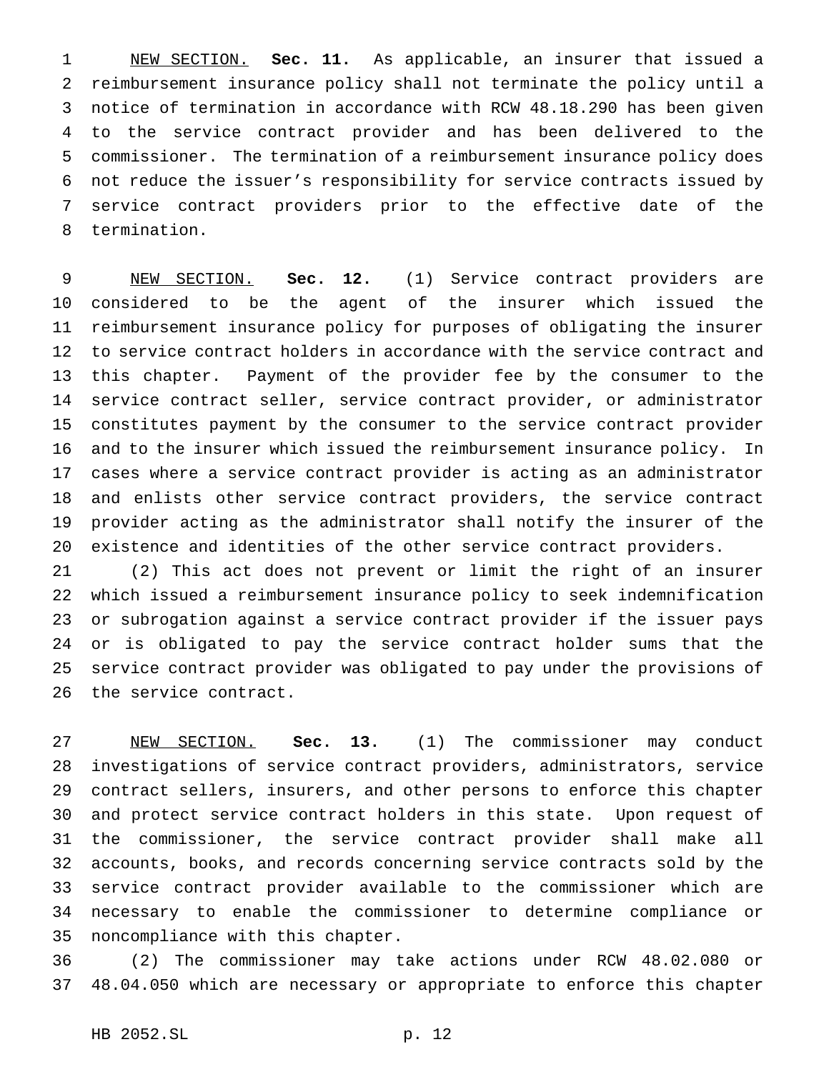NEW SECTION. **Sec. 11.** As applicable, an insurer that issued a reimbursement insurance policy shall not terminate the policy until a notice of termination in accordance with RCW 48.18.290 has been given to the service contract provider and has been delivered to the commissioner. The termination of a reimbursement insurance policy does not reduce the issuer's responsibility for service contracts issued by service contract providers prior to the effective date of the termination.

 NEW SECTION. **Sec. 12.** (1) Service contract providers are considered to be the agent of the insurer which issued the reimbursement insurance policy for purposes of obligating the insurer to service contract holders in accordance with the service contract and this chapter. Payment of the provider fee by the consumer to the service contract seller, service contract provider, or administrator constitutes payment by the consumer to the service contract provider and to the insurer which issued the reimbursement insurance policy. In cases where a service contract provider is acting as an administrator and enlists other service contract providers, the service contract provider acting as the administrator shall notify the insurer of the existence and identities of the other service contract providers.

 (2) This act does not prevent or limit the right of an insurer which issued a reimbursement insurance policy to seek indemnification or subrogation against a service contract provider if the issuer pays or is obligated to pay the service contract holder sums that the service contract provider was obligated to pay under the provisions of the service contract.

 NEW SECTION. **Sec. 13.** (1) The commissioner may conduct investigations of service contract providers, administrators, service contract sellers, insurers, and other persons to enforce this chapter and protect service contract holders in this state. Upon request of the commissioner, the service contract provider shall make all accounts, books, and records concerning service contracts sold by the service contract provider available to the commissioner which are necessary to enable the commissioner to determine compliance or noncompliance with this chapter.

 (2) The commissioner may take actions under RCW 48.02.080 or 48.04.050 which are necessary or appropriate to enforce this chapter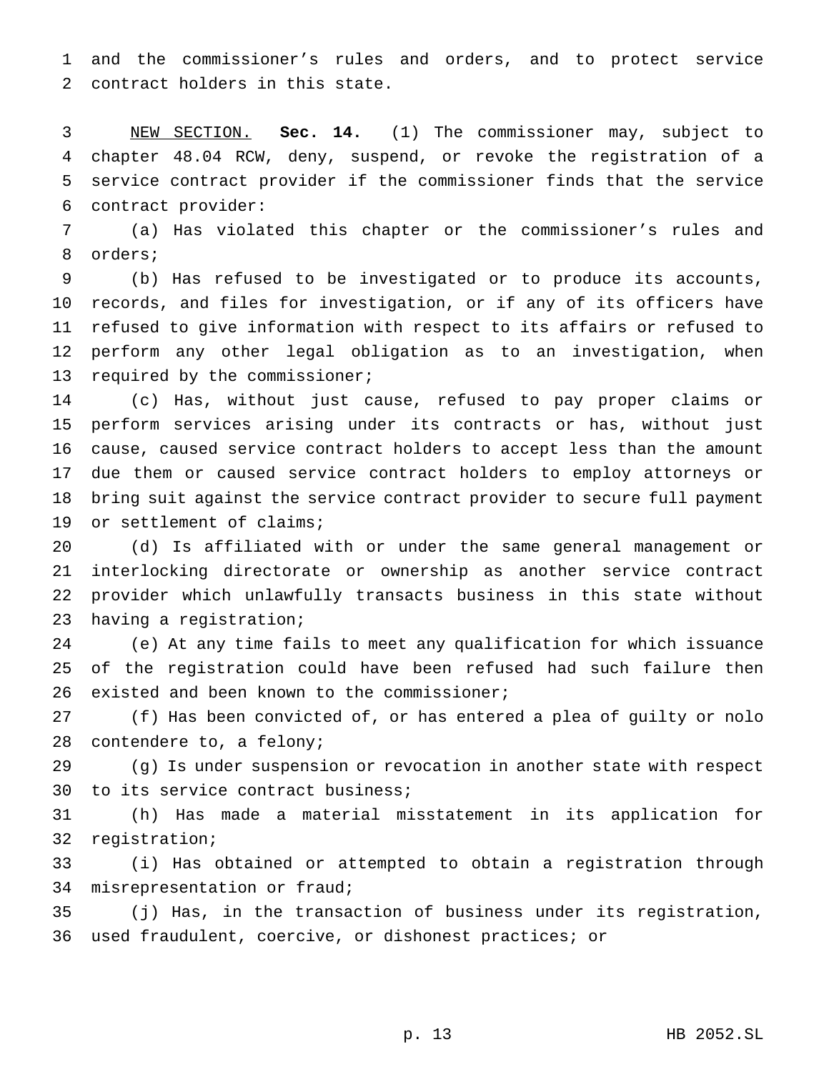and the commissioner's rules and orders, and to protect service contract holders in this state.

 NEW SECTION. **Sec. 14.** (1) The commissioner may, subject to chapter 48.04 RCW, deny, suspend, or revoke the registration of a service contract provider if the commissioner finds that the service contract provider:

 (a) Has violated this chapter or the commissioner's rules and orders;

 (b) Has refused to be investigated or to produce its accounts, records, and files for investigation, or if any of its officers have refused to give information with respect to its affairs or refused to perform any other legal obligation as to an investigation, when required by the commissioner;

 (c) Has, without just cause, refused to pay proper claims or perform services arising under its contracts or has, without just cause, caused service contract holders to accept less than the amount due them or caused service contract holders to employ attorneys or bring suit against the service contract provider to secure full payment or settlement of claims;

 (d) Is affiliated with or under the same general management or interlocking directorate or ownership as another service contract provider which unlawfully transacts business in this state without having a registration;

 (e) At any time fails to meet any qualification for which issuance of the registration could have been refused had such failure then existed and been known to the commissioner;

 (f) Has been convicted of, or has entered a plea of guilty or nolo contendere to, a felony;

 (g) Is under suspension or revocation in another state with respect to its service contract business;

 (h) Has made a material misstatement in its application for registration;

 (i) Has obtained or attempted to obtain a registration through misrepresentation or fraud;

 (j) Has, in the transaction of business under its registration, used fraudulent, coercive, or dishonest practices; or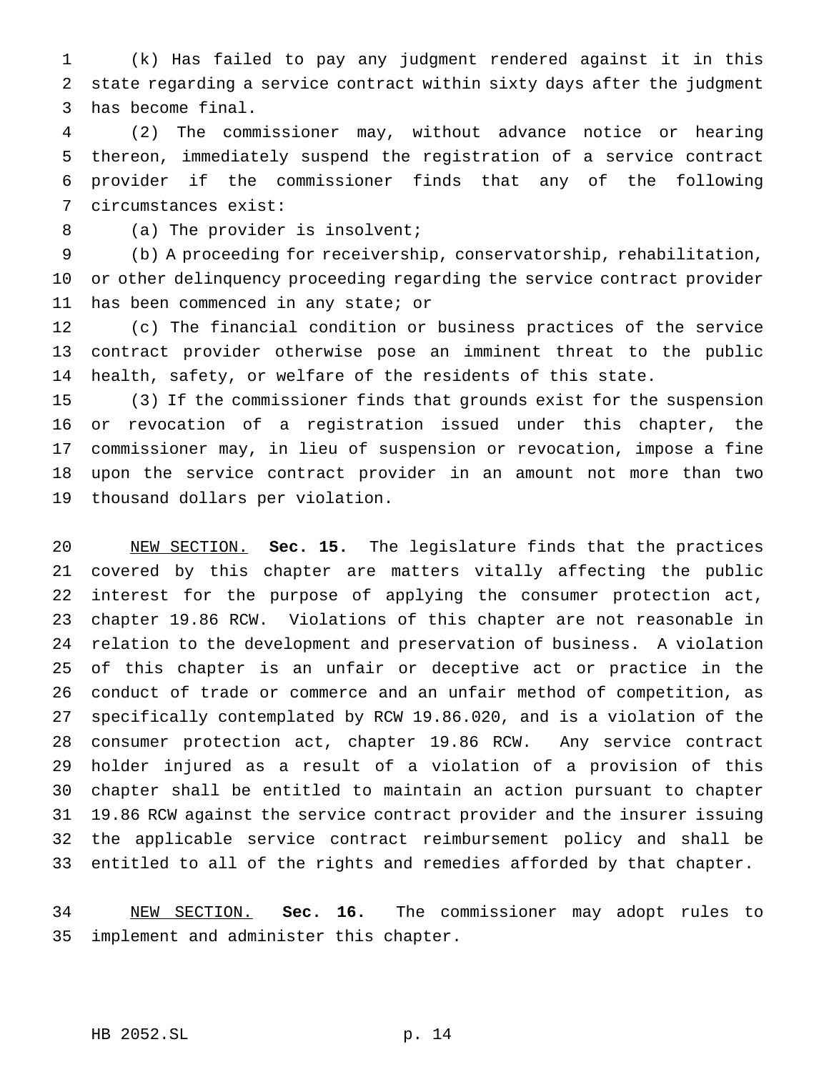(k) Has failed to pay any judgment rendered against it in this state regarding a service contract within sixty days after the judgment has become final.

 (2) The commissioner may, without advance notice or hearing thereon, immediately suspend the registration of a service contract provider if the commissioner finds that any of the following circumstances exist:

8 (a) The provider is insolvent;

 (b) A proceeding for receivership, conservatorship, rehabilitation, or other delinquency proceeding regarding the service contract provider 11 has been commenced in any state; or

 (c) The financial condition or business practices of the service contract provider otherwise pose an imminent threat to the public health, safety, or welfare of the residents of this state.

 (3) If the commissioner finds that grounds exist for the suspension or revocation of a registration issued under this chapter, the commissioner may, in lieu of suspension or revocation, impose a fine upon the service contract provider in an amount not more than two thousand dollars per violation.

 NEW SECTION. **Sec. 15.** The legislature finds that the practices covered by this chapter are matters vitally affecting the public interest for the purpose of applying the consumer protection act, chapter 19.86 RCW. Violations of this chapter are not reasonable in relation to the development and preservation of business. A violation of this chapter is an unfair or deceptive act or practice in the conduct of trade or commerce and an unfair method of competition, as specifically contemplated by RCW 19.86.020, and is a violation of the consumer protection act, chapter 19.86 RCW. Any service contract holder injured as a result of a violation of a provision of this chapter shall be entitled to maintain an action pursuant to chapter 19.86 RCW against the service contract provider and the insurer issuing the applicable service contract reimbursement policy and shall be entitled to all of the rights and remedies afforded by that chapter.

 NEW SECTION. **Sec. 16.** The commissioner may adopt rules to implement and administer this chapter.

## HB 2052.SL p. 14